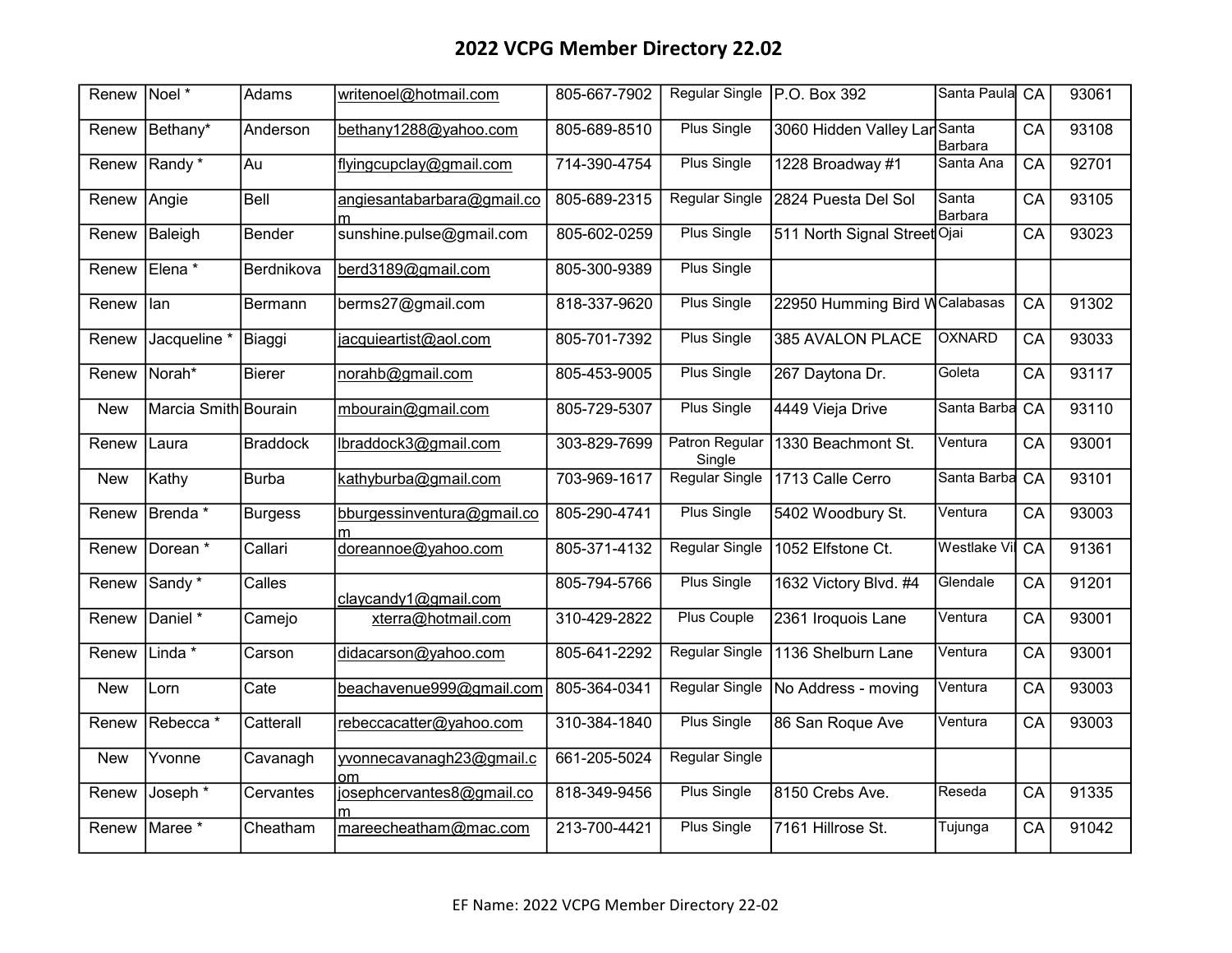| Renew      | $Noel*$                 | Adams           | writenoel@hotmail.com           | 805-667-7902 | <b>Regular Single</b>           | P.O. Box 392                  | Santa Paula         | $\overline{CA}$ | 93061 |
|------------|-------------------------|-----------------|---------------------------------|--------------|---------------------------------|-------------------------------|---------------------|-----------------|-------|
| Renew      | Bethany*                | Anderson        | bethany1288@yahoo.com           | 805-689-8510 | <b>Plus Single</b>              | 3060 Hidden Valley Lar Santa  | Barbara             | CA              | 93108 |
| Renew      | Randy*                  | Au              | flyingcupclay@gmail.com         | 714-390-4754 | <b>Plus Single</b>              | 1228 Broadway #1              | Santa Ana           | CA              | 92701 |
| Renew      | Angie                   | Bell            | angiesantabarbara@gmail.co      | 805-689-2315 | Regular Single                  | 2824 Puesta Del Sol           | Santa<br>Barbara    | CA              | 93105 |
| Renew      | Baleigh                 | Bender          | sunshine.pulse@gmail.com        | 805-602-0259 | Plus Single                     | 511 North Signal Street Ojai  |                     | CA              | 93023 |
| Renew      | Elena *                 | Berdnikova      | berd3189@gmail.com              | 805-300-9389 | <b>Plus Single</b>              |                               |                     |                 |       |
| Renew      | llan                    | Bermann         | berms27@gmail.com               | 818-337-9620 | <b>Plus Single</b>              | 22950 Humming Bird WCalabasas |                     | CA              | 91302 |
| Renew      | Jacqueline <sup>*</sup> | Biaggi          | jacquieartist@aol.com           | 805-701-7392 | <b>Plus Single</b>              | <b>385 AVALON PLACE</b>       | OXNARD              | $\overline{CA}$ | 93033 |
| Renew      | Norah*                  | <b>Bierer</b>   | norahb@gmail.com                | 805-453-9005 | <b>Plus Single</b>              | 267 Daytona Dr.               | Goleta              | CA              | 93117 |
| <b>New</b> | Marcia Smith Bourain    |                 | mbourain@gmail.com              | 805-729-5307 | Plus Single                     | 4449 Vieja Drive              | Santa Barba         | CA              | 93110 |
| Renew      | Laura                   | <b>Braddock</b> | lbraddock3@gmail.com            | 303-829-7699 | <b>Patron Regular</b><br>Single | 1330 Beachmont St.            | Ventura             | CA              | 93001 |
| <b>New</b> | Kathy                   | <b>Burba</b>    | kathyburba@gmail.com            | 703-969-1617 | Regular Single                  | 1713 Calle Cerro              | Santa Barba         | CA              | 93101 |
| Renew      | Brenda <sup>*</sup>     | <b>Burgess</b>  | bburgessinventura@gmail.co<br>m | 805-290-4741 | <b>Plus Single</b>              | 5402 Woodbury St.             | Ventura             | $\overline{CA}$ | 93003 |
| Renew      | Dorean *                | Callari         | doreannoe@yahoo.com             | 805-371-4132 | <b>Regular Single</b>           | 1052 Elfstone Ct.             | <b>Westlake Vil</b> | CA              | 91361 |
| Renew      | Sandy <sup>*</sup>      | Calles          | claycandy1@gmail.com            | 805-794-5766 | <b>Plus Single</b>              | 1632 Victory Blvd. #4         | Glendale            | CA              | 91201 |
| Renew      | Daniel <sup>*</sup>     | Camejo          | xterra@hotmail.com              | 310-429-2822 | <b>Plus Couple</b>              | 2361 Iroquois Lane            | Ventura             | CA              | 93001 |
| Renew      | Linda $*$               | Carson          | didacarson@yahoo.com            | 805-641-2292 | <b>Regular Single</b>           | 1136 Shelburn Lane            | Ventura             | CA              | 93001 |
| <b>New</b> | Lorn                    | Cate            | beachavenue999@gmail.com        | 805-364-0341 | <b>Regular Single</b>           | No Address - moving           | Ventura             | $\overline{CA}$ | 93003 |
| Renew      | Rebecca *               | Catterall       | rebeccacatter@yahoo.com         | 310-384-1840 | <b>Plus Single</b>              | 86 San Roque Ave              | Ventura             | CA              | 93003 |
| <b>New</b> | Yvonne                  | Cavanagh        | yvonnecavanagh23@gmail.c<br>om  | 661-205-5024 | <b>Regular Single</b>           |                               |                     |                 |       |
| Renew      | Joseph <sup>*</sup>     | Cervantes       | josephcervantes8@gmail.co       | 818-349-9456 | <b>Plus Single</b>              | 8150 Crebs Ave.               | Reseda              | CA              | 91335 |
| Renew      | Maree *                 | Cheatham        | mareecheatham@mac.com           | 213-700-4421 | <b>Plus Single</b>              | 7161 Hillrose St.             | Tujunga             | CA              | 91042 |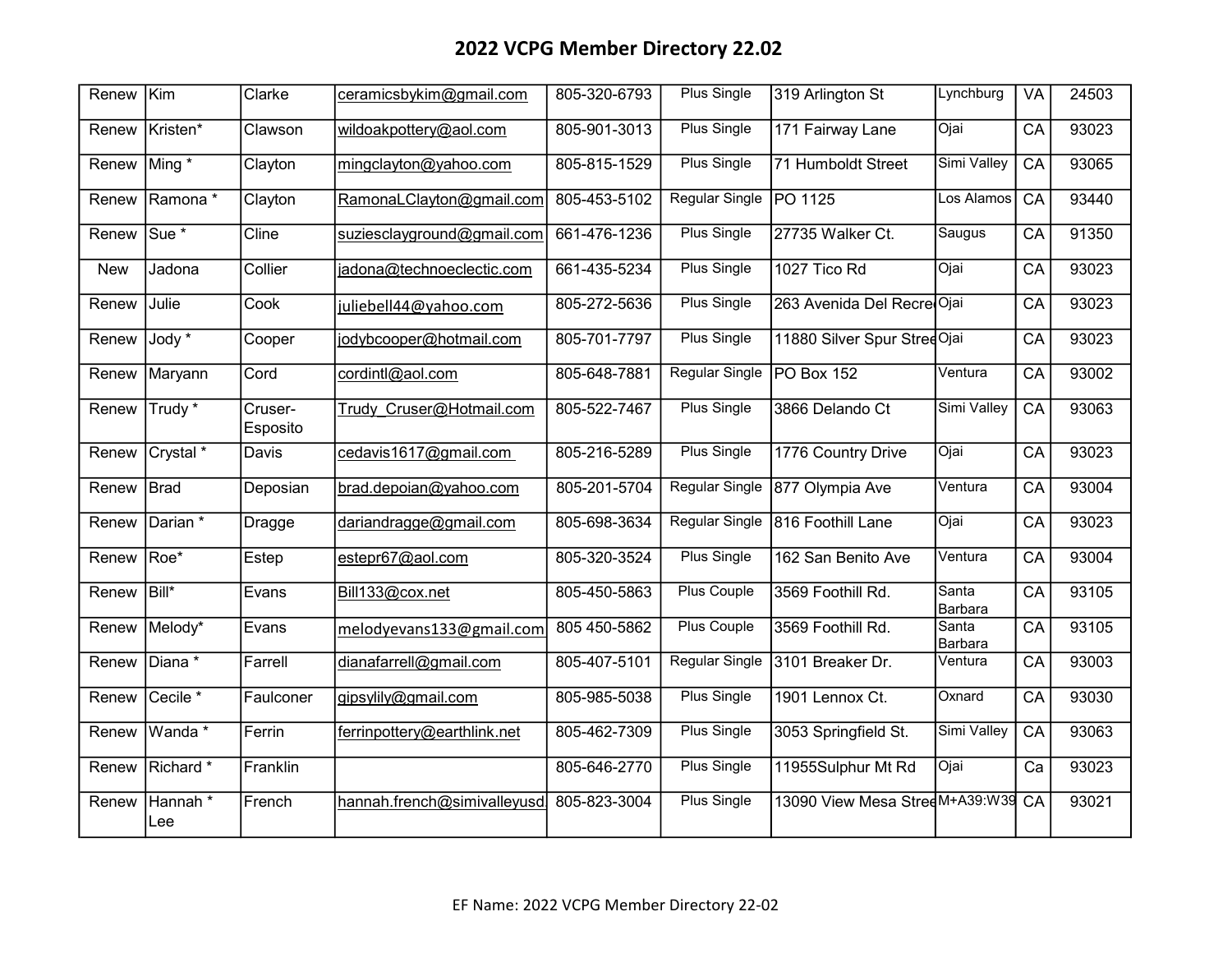| Renew      | Kim                  | Clarke              | ceramicsbykim@gmail.com      | 805-320-6793 | Plus Single           | 319 Arlington St               | Lynchburg        | VA              | 24503 |
|------------|----------------------|---------------------|------------------------------|--------------|-----------------------|--------------------------------|------------------|-----------------|-------|
| Renew      | Kristen*             | Clawson             | wildoakpottery@aol.com       | 805-901-3013 | <b>Plus Single</b>    | 171 Fairway Lane               | Ojai             | CA              | 93023 |
| Renew      | Ming *               | Clayton             | mingclayton@yahoo.com        | 805-815-1529 | <b>Plus Single</b>    | 71 Humboldt Street             | Simi Valley      | CA              | 93065 |
| Renew      | Ramona*              | Clayton             | RamonaLClayton@gmail.com     | 805-453-5102 | Regular Single        | PO 1125                        | Los Alamos       | CA              | 93440 |
| Renew      | Sue <sup>*</sup>     | Cline               | suziesclayground@gmail.com   | 661-476-1236 | <b>Plus Single</b>    | 27735 Walker Ct.               | Saugus           | CA              | 91350 |
| <b>New</b> | Jadona               | Collier             | jadona@technoeclectic.com    | 661-435-5234 | <b>Plus Single</b>    | 1027 Tico Rd                   | Ojai             | CA              | 93023 |
| Renew      | Julie                | Cook                | juliebell44@yahoo.com        | 805-272-5636 | Plus Single           | 263 Avenida Del Recre Ojai     |                  | CA              | 93023 |
| Renew      | Jody <sup>*</sup>    | Cooper              | jodybcooper@hotmail.com      | 805-701-7797 | <b>Plus Single</b>    | 11880 Silver Spur StreeOjai    |                  | CA              | 93023 |
| Renew      | Maryann              | Cord                | cordintl@aol.com             | 805-648-7881 | <b>Regular Single</b> | PO Box 152                     | Ventura          | CA              | 93002 |
| Renew      | Trudy *              | Cruser-<br>Esposito | Trudy Cruser@Hotmail.com     | 805-522-7467 | Plus Single           | 3866 Delando Ct                | Simi Valley      | CA              | 93063 |
| Renew      | Crystal <sup>*</sup> | Davis               | cedavis1617@gmail.com        | 805-216-5289 | Plus Single           | 1776 Country Drive             | Ojai             | $\overline{CA}$ | 93023 |
| Renew      | Brad                 | Deposian            | brad.depoian@yahoo.com       | 805-201-5704 | <b>Regular Single</b> | 877 Olympia Ave                | Ventura          | CA              | 93004 |
| Renew      | Darian *             | Dragge              | dariandragge@gmail.com       | 805-698-3634 | <b>Regular Single</b> | 816 Foothill Lane              | Ojai             | CA              | 93023 |
| Renew      | Roe*                 | Estep               | estepr67@aol.com             | 805-320-3524 | <b>Plus Single</b>    | 162 San Benito Ave             | Ventura          | CA              | 93004 |
| Renew      | Bill*                | Evans               | Bill133@cox.net              | 805-450-5863 | <b>Plus Couple</b>    | 3569 Foothill Rd.              | Santa<br>Barbara | CA              | 93105 |
| Renew      | Melody*              | Evans               | melodyevans133@gmail.com     | 805 450-5862 | <b>Plus Couple</b>    | 3569 Foothill Rd.              | Santa<br>Barbara | CA              | 93105 |
| Renew      | Diana *              | Farrell             | dianafarrell@gmail.com       | 805-407-5101 | <b>Regular Single</b> | 3101 Breaker Dr.               | Ventura          | CA              | 93003 |
| Renew      | Cecile <sup>*</sup>  | Faulconer           | gipsylily@gmail.com          | 805-985-5038 | <b>Plus Single</b>    | 1901 Lennox Ct.                | Oxnard           | $\overline{CA}$ | 93030 |
| Renew      | Wanda *              | Ferrin              | ferrinpottery@earthlink.net  | 805-462-7309 | <b>Plus Single</b>    | 3053 Springfield St.           | Simi Valley      | $\overline{CA}$ | 93063 |
| Renew      | Richard <sup>*</sup> | Franklin            |                              | 805-646-2770 | <b>Plus Single</b>    | 11955Sulphur Mt Rd             | Ojai             | Ca              | 93023 |
| Renew      | Hannah*<br>Lee       | French              | hannah.french@simivalleyusd. | 805-823-3004 | Plus Single           | 13090 View Mesa StreeM+A39:W39 |                  | CA              | 93021 |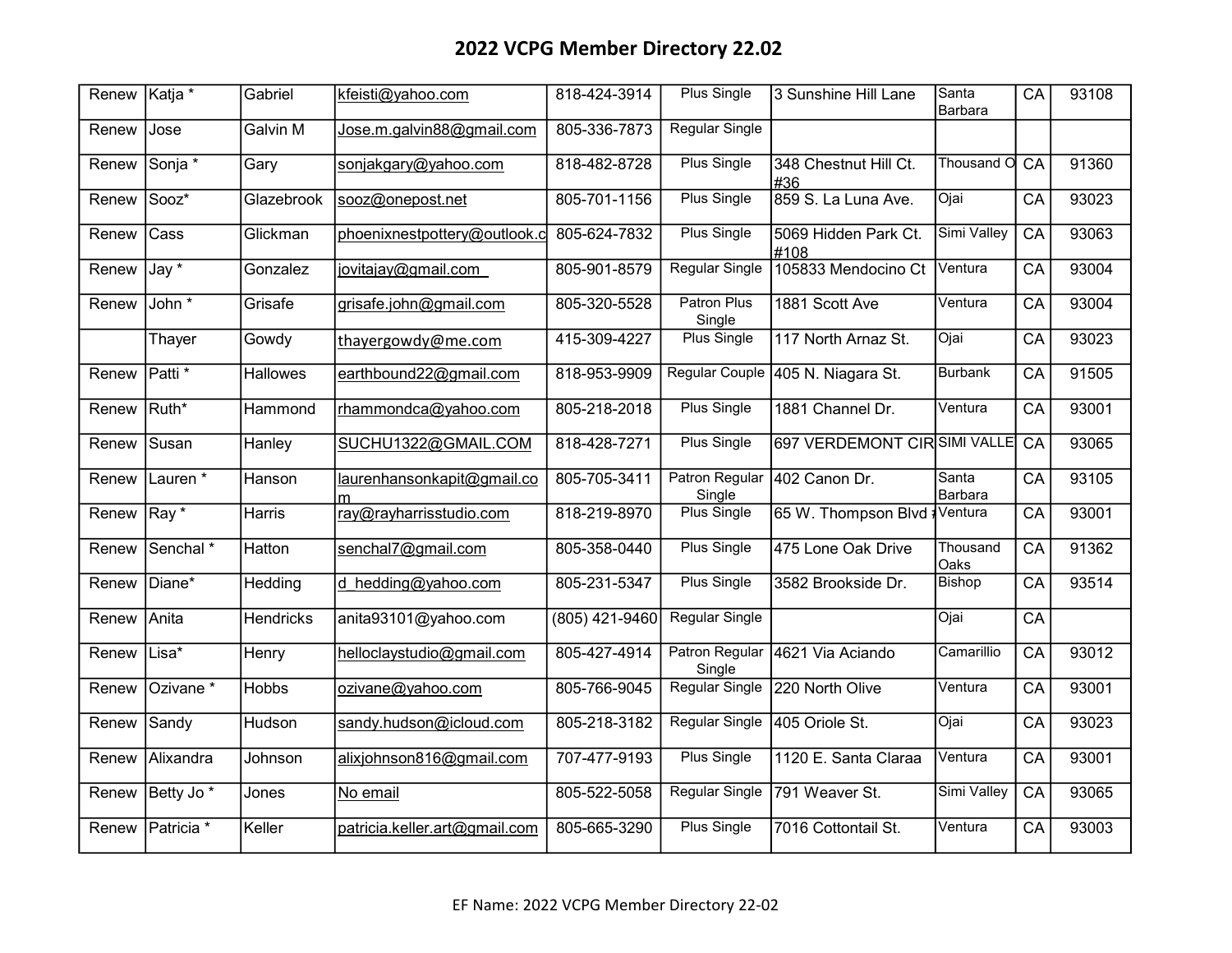| Renew | Katja *               | Gabriel          | kfeisti@yahoo.com               | 818-424-3914   | <b>Plus Single</b>              | 3 Sunshine Hill Lane              | Santa<br><b>Barbara</b> | CA              | 93108 |
|-------|-----------------------|------------------|---------------------------------|----------------|---------------------------------|-----------------------------------|-------------------------|-----------------|-------|
| Renew | Jose                  | <b>Galvin M</b>  | Jose.m.galvin88@gmail.com       | 805-336-7873   | <b>Regular Single</b>           |                                   |                         |                 |       |
| Renew | Sonja *               | Gary             | sonjakgary@yahoo.com            | 818-482-8728   | <b>Plus Single</b>              | 348 Chestnut Hill Ct.<br>#36      | Thousand O              | CA              | 91360 |
| Renew | Sooz*                 | Glazebrook       | sooz@onepost.net                | 805-701-1156   | <b>Plus Single</b>              | 859 S. La Luna Ave.               | Ojai                    | CA              | 93023 |
| Renew | Cass                  | Glickman         | phoenixnestpottery@outlook.c    | 805-624-7832   | Plus Single                     | 5069 Hidden Park Ct.<br>l#108     | Simi Valley             | CA              | 93063 |
| Renew | $\overline{Jay*}$     | Gonzalez         | jovitajay@gmail.com             | 805-901-8579   | <b>Regular Single</b>           | 105833 Mendocino Ct               | Ventura                 | CA              | 93004 |
| Renew | John *                | Grisafe          | grisafe.john@gmail.com          | 805-320-5528   | <b>Patron Plus</b><br>Single    | 1881 Scott Ave                    | Ventura                 | CA              | 93004 |
|       | Thayer                | Gowdy            | thayergowdy@me.com              | 415-309-4227   | <b>Plus Single</b>              | 117 North Arnaz St.               | Ojai                    | $\overline{CA}$ | 93023 |
| Renew | Patti <sup>*</sup>    | <b>Hallowes</b>  | earthbound22@gmail.com          | 818-953-9909   |                                 | Regular Couple 405 N. Niagara St. | <b>Burbank</b>          | CA              | 91505 |
| Renew | Ruth*                 | Hammond          | rhammondca@yahoo.com            | 805-218-2018   | Plus Single                     | 1881 Channel Dr.                  | Ventura                 | CA              | 93001 |
| Renew | Susan                 | Hanley           | SUCHU1322@GMAIL.COM             | 818-428-7271   | <b>Plus Single</b>              | 697 VERDEMONT CIRSIMI VALLE       |                         | CA              | 93065 |
| Renew | Lauren <sup>*</sup>   | Hanson           | laurenhansonkapit@gmail.co<br>m | 805-705-3411   | <b>Patron Regular</b><br>Single | 402 Canon Dr.                     | Santa<br>Barbara        | CA              | 93105 |
| Renew | Ray <sup>*</sup>      | Harris           | ray@rayharrisstudio.com         | 818-219-8970   | <b>Plus Single</b>              | 65 W. Thompson Blvd               | <b>Ventura</b>          | $\overline{CA}$ | 93001 |
| Renew | Senchal *             | Hatton           | senchal7@gmail.com              | 805-358-0440   | <b>Plus Single</b>              | 475 Lone Oak Drive                | Thousand<br>Oaks        | CA              | 91362 |
| Renew | Diane*                | Hedding          | d hedding@yahoo.com             | 805-231-5347   | <b>Plus Single</b>              | 3582 Brookside Dr.                | <b>Bishop</b>           | CA              | 93514 |
| Renew | Anita                 | <b>Hendricks</b> | anita93101@yahoo.com            | (805) 421-9460 | <b>Regular Single</b>           |                                   | Ojai                    | CA              |       |
| Renew | Lisa*                 | Henry            | helloclaystudio@gmail.com       | 805-427-4914   | Patron Regular<br>Single        | 4621 Via Aciando                  | Camarillio              | CA              | 93012 |
| Renew | Ozivane <sup>*</sup>  | <b>Hobbs</b>     | ozivane@yahoo.com               | 805-766-9045   | Regular Single                  | 220 North Olive                   | Ventura                 | $\overline{CA}$ | 93001 |
| Renew | Sandy                 | Hudson           | sandy.hudson@icloud.com         | 805-218-3182   | Regular Single                  | 405 Oriole St.                    | Ojai                    | CA              | 93023 |
| Renew | Alixandra             | Johnson          | alixjohnson816@gmail.com        | 707-477-9193   | <b>Plus Single</b>              | 1120 E. Santa Claraa              | Ventura                 | CA              | 93001 |
| Renew | Betty Jo <sup>*</sup> | Jones            | No email                        | 805-522-5058   | <b>Regular Single</b>           | 791 Weaver St.                    | Simi Valley             | $\overline{CA}$ | 93065 |
| Renew | Patricia *            | Keller           | patricia.keller.art@gmail.com   | 805-665-3290   | <b>Plus Single</b>              | 7016 Cottontail St.               | Ventura                 | CA              | 93003 |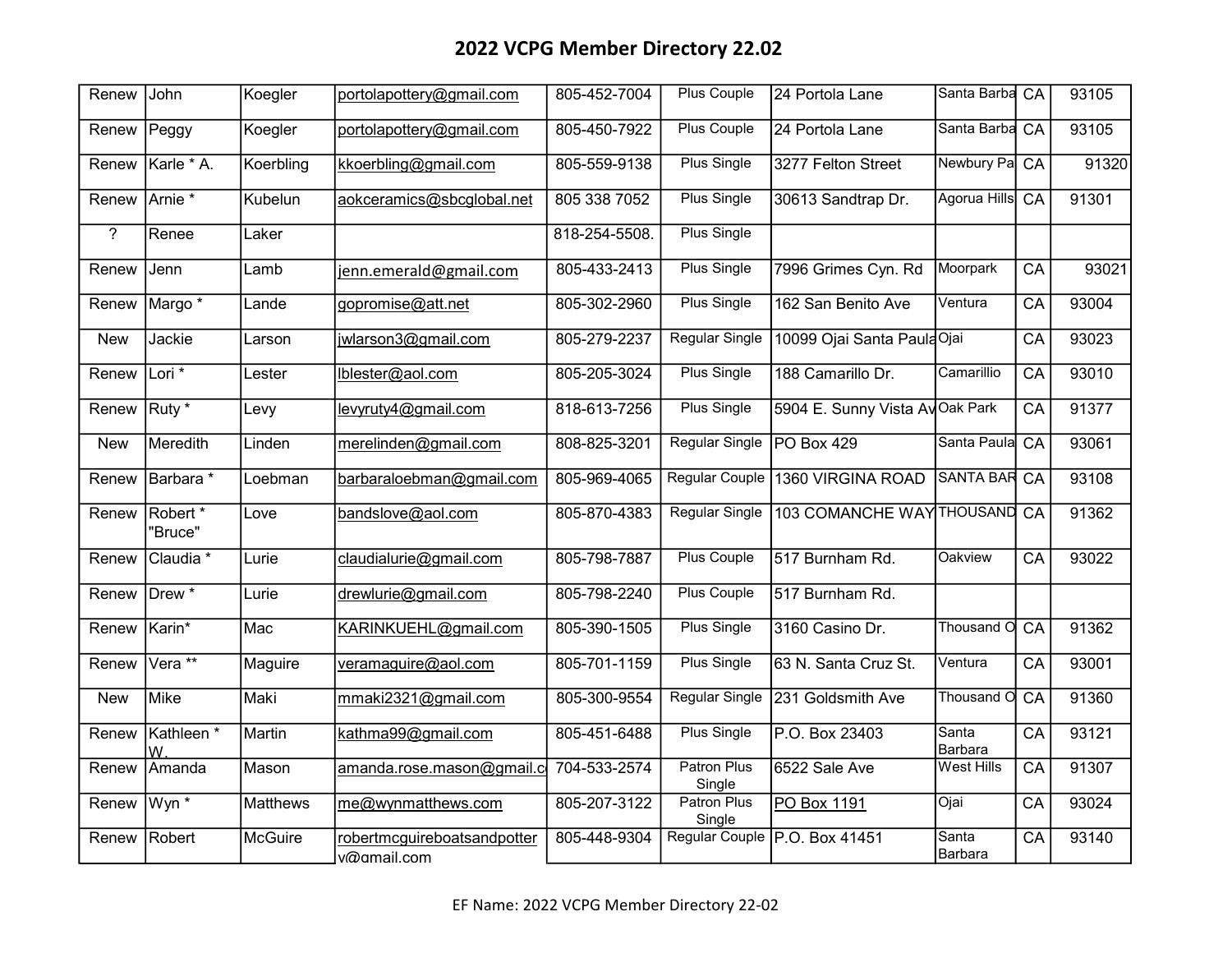| Renew       | John                           | Koegler   | portolapottery@gmail.com                   | 805-452-7004  | <b>Plus Couple</b>           | 24 Portola Lane                  | Santa Barba CA      |                 | 93105 |
|-------------|--------------------------------|-----------|--------------------------------------------|---------------|------------------------------|----------------------------------|---------------------|-----------------|-------|
| Renew       | Peggy                          | Koegler   | portolapottery@gmail.com                   | 805-450-7922  | <b>Plus Couple</b>           | 24 Portola Lane                  | Santa Barba CA      |                 | 93105 |
| Renew       | Karle * A.                     | Koerbling | kkoerbling@gmail.com                       | 805-559-9138  | <b>Plus Single</b>           | 3277 Felton Street               | <b>Newbury Pa</b>   | CA              | 91320 |
| Renew       | Arnie *                        | Kubelun   | aokceramics@sbcglobal.net                  | 805 338 7052  | <b>Plus Single</b>           | 30613 Sandtrap Dr.               | Agorua Hills        | CA              | 91301 |
| $\tilde{?}$ | Renee                          | Laker     |                                            | 818-254-5508. | <b>Plus Single</b>           |                                  |                     |                 |       |
| Renew       | Jenn                           | Lamb      | jenn.emerald@gmail.com                     | 805-433-2413  | <b>Plus Single</b>           | 7996 Grimes Cyn. Rd              | Moorpark            | $\overline{CA}$ | 93021 |
| Renew       | Margo *                        | Lande     | gopromise@att.net                          | 805-302-2960  | <b>Plus Single</b>           | 162 San Benito Ave               | Ventura             | CA              | 93004 |
| <b>New</b>  | Jackie                         | Larson    | jwlarson3@gmail.com                        | 805-279-2237  | <b>Regular Single</b>        | 10099 Ojai Santa PaulaOjai       |                     | CA              | 93023 |
| Renew       | Lori <sup>*</sup>              | Lester    | lblester@aol.com                           | 805-205-3024  | <b>Plus Single</b>           | 188 Camarillo Dr.                | Camarillio          | CA              | 93010 |
| Renew       | Ruty *                         | Levy      | levyruty4@gmail.com                        | 818-613-7256  | <b>Plus Single</b>           | 5904 E. Sunny Vista AyOak Park   |                     | CA              | 91377 |
| <b>New</b>  | Meredith                       | Linden    | merelinden@gmail.com                       | 808-825-3201  | Regular Single               | PO Box 429                       | Santa Paula         | CA              | 93061 |
| Renew       | Barbara *                      | Loebman   | barbaraloebman@gmail.com                   | 805-969-4065  |                              | Regular Couple 1360 VIRGINA ROAD | <b>SANTA BAR CA</b> |                 | 93108 |
| Renew       | Robert <sup>*</sup><br>"Bruce" | Love      | bandslove@aol.com                          | 805-870-4383  | <b>Regular Single</b>        | 103 COMANCHE WAY THOUSAND CA     |                     |                 | 91362 |
| Renew       | Claudia <sup>*</sup>           | Lurie     | claudialurie@gmail.com                     | 805-798-7887  | Plus Couple                  | 517 Burnham Rd.                  | Oakview             | CA              | 93022 |
| Renew       | Drew *                         | Lurie     | drewlurie@gmail.com                        | 805-798-2240  | <b>Plus Couple</b>           | 517 Burnham Rd.                  |                     |                 |       |
| Renew       | Karin*                         | Mac       | KARINKUEHL@gmail.com                       | 805-390-1505  | <b>Plus Single</b>           | 3160 Casino Dr.                  | Thousand O          | $\overline{CA}$ | 91362 |
| Renew       | Vera <sup>**</sup>             | Maguire   | veramaguire@aol.com                        | 805-701-1159  | <b>Plus Single</b>           | 63 N. Santa Cruz St.             | Ventura             | CA              | 93001 |
| <b>New</b>  | Mike                           | Maki      | mmaki2321@gmail.com                        | 805-300-9554  | <b>Regular Single</b>        | 231 Goldsmith Ave                | Thousand O          | CA              | 91360 |
| Renew       | Kathleen *<br>W                | Martin    | kathma99@gmail.com                         | 805-451-6488  | <b>Plus Single</b>           | P.O. Box 23403                   | Santa<br>Barbara    | CA              | 93121 |
| Renew       | Amanda                         | Mason     | amanda.rose.mason@gmail.c                  | 704-533-2574  | <b>Patron Plus</b><br>Single | 6522 Sale Ave                    | <b>West Hills</b>   | CA              | 91307 |
| Renew       | Wyn <sup>*</sup>               | Matthews  | me@wynmatthews.com                         | 805-207-3122  | Patron Plus<br>Single        | PO Box 1191                      | Ojai                | CA              | 93024 |
| Renew       | Robert                         | McGuire   | robertmcguireboatsandpotter<br>v@gmail.com | 805-448-9304  |                              | Regular Couple P.O. Box 41451    | Santa<br>Barbara    | $\overline{CA}$ | 93140 |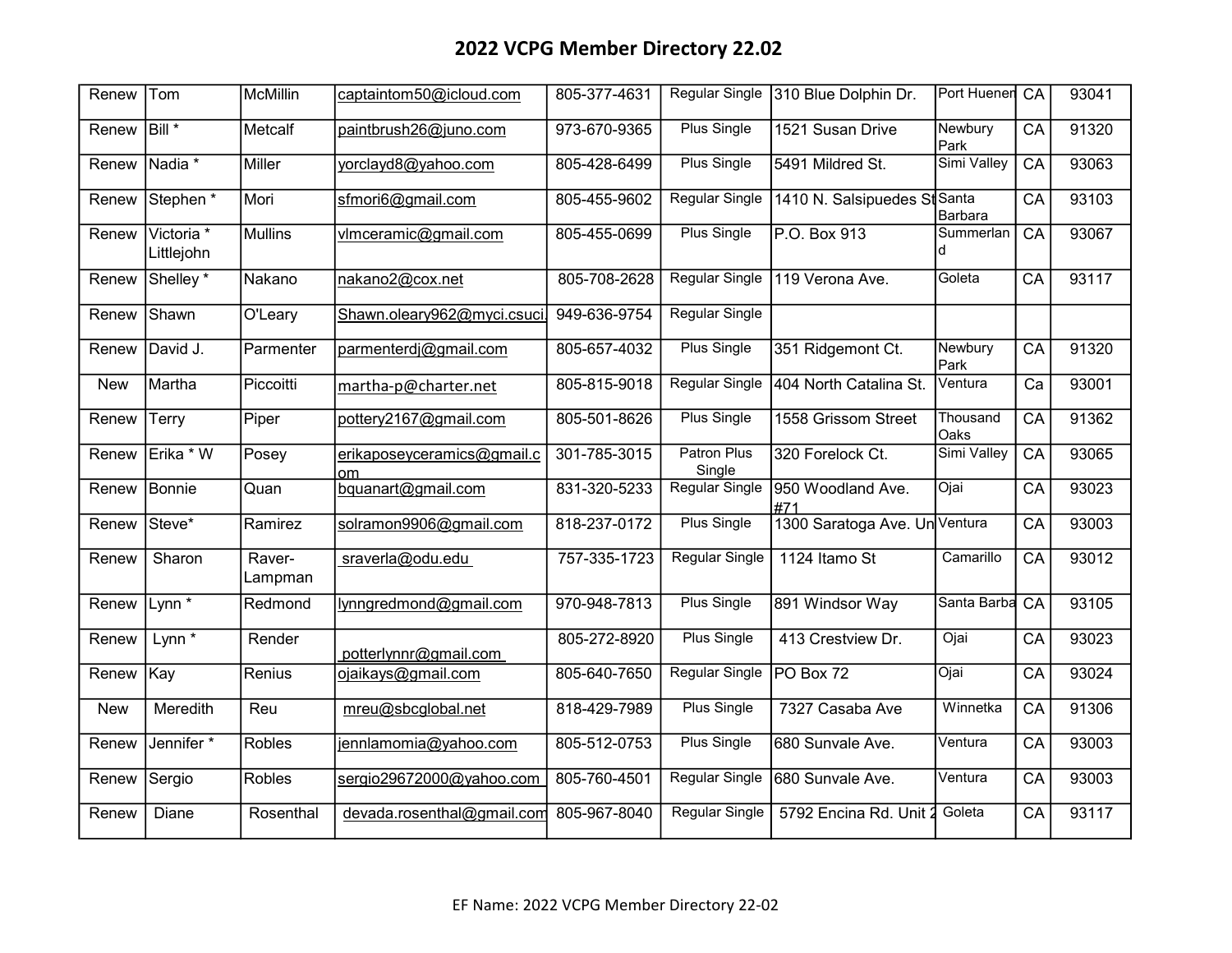| Renew      | Tom                      | <b>McMillin</b>   | captaintom50@icloud.com          | 805-377-4631 | <b>Regular Single</b> | 310 Blue Dolphin Dr.          | Port Huener CA   |                 | 93041 |
|------------|--------------------------|-------------------|----------------------------------|--------------|-----------------------|-------------------------------|------------------|-----------------|-------|
| Renew      | Bill <sup>*</sup>        | Metcalf           | paintbrush26@juno.com            | 973-670-9365 | <b>Plus Single</b>    | 1521 Susan Drive              | Newbury<br>Park  | CA              | 91320 |
| Renew      | Nadia *                  | <b>Miller</b>     | yorclayd8@yahoo.com              | 805-428-6499 | <b>Plus Single</b>    | 5491 Mildred St.              | Simi Valley      | CA              | 93063 |
| Renew      | Stephen <sup>*</sup>     | Mori              | sfmori6@gmail.com                | 805-455-9602 | <b>Regular Single</b> | 1410 N. Salsipuedes St Santa  | <b>Barbara</b>   | CA              | 93103 |
| Renew      | Victoria *<br>Littlejohn | Mullins           | vlmceramic@gmail.com             | 805-455-0699 | <b>Plus Single</b>    | P.O. Box 913                  | Summerlan        | CA              | 93067 |
| Renew      | Shelley <sup>*</sup>     | Nakano            | nakano2@cox.net                  | 805-708-2628 | Regular Single        | 119 Verona Ave.               | Goleta           | CA              | 93117 |
| Renew      | Shawn                    | O'Leary           | Shawn.oleary962@myci.csuci       | 949-636-9754 | <b>Regular Single</b> |                               |                  |                 |       |
| Renew      | David J.                 | Parmenter         | parmenterdj@gmail.com            | 805-657-4032 | Plus Single           | 351 Ridgemont Ct.             | Newbury<br>Park  | CA              | 91320 |
| <b>New</b> | <b>I</b> Martha          | Piccoitti         | martha-p@charter.net             | 805-815-9018 | Regular Single        | 404 North Catalina St.        | Ventura          | Ca              | 93001 |
| Renew      | Terry                    | Piper             | pottery2167@gmail.com            | 805-501-8626 | <b>Plus Single</b>    | 1558 Grissom Street           | Thousand<br>Oaks | CA              | 91362 |
| Renew      | Erika * W                | Posey             | erikaposeyceramics@gmail.c<br>om | 301-785-3015 | Patron Plus<br>Single | 320 Forelock Ct.              | Simi Valley      | $\overline{CA}$ | 93065 |
| Renew      | Bonnie                   | Quan              | bquanart@gmail.com               | 831-320-5233 | Regular Single        | 950 Woodland Ave.<br>#71      | Ojai             | CA              | 93023 |
| Renew      | Steve*                   | Ramirez           | solramon9906@gmail.com           | 818-237-0172 | <b>Plus Single</b>    | 1300 Saratoga Ave. Un Ventura |                  | CA              | 93003 |
| Renew      | Sharon                   | Raver-<br>Lampman | sraverla@odu.edu                 | 757-335-1723 | <b>Regular Single</b> | 1124 Itamo St                 | Camarillo        | CA              | 93012 |
| Renew      | Lynn $*$                 | Redmond           | lynngredmond@gmail.com           | 970-948-7813 | <b>Plus Single</b>    | 891 Windsor Way               | Santa Barba      | CA              | 93105 |
| Renew      | $Lynn^*$                 | Render            | potterlynnr@gmail.com            | 805-272-8920 | <b>Plus Single</b>    | 413 Crestview Dr.             | Ojai             | CA              | 93023 |
| Renew      | Kay                      | Renius            | ojaikays@gmail.com               | 805-640-7650 | Regular Single        | PO Box 72                     | Ojai             | CA              | 93024 |
| <b>New</b> | Meredith                 | Reu               | mreu@sbcglobal.net               | 818-429-7989 | Plus Single           | 7327 Casaba Ave               | Winnetka         | CA              | 91306 |
| Renew      | Jennifer *               | Robles            | jennlamomia@yahoo.com            | 805-512-0753 | Plus Single           | 680 Sunvale Ave.              | Ventura          | CA              | 93003 |
| Renew      | Sergio                   | <b>Robles</b>     | sergio29672000@yahoo.com         | 805-760-4501 | <b>Regular Single</b> | 680 Sunvale Ave.              | Ventura          | CA              | 93003 |
| Renew      | Diane                    | Rosenthal         | devada.rosenthal@gmail.com       | 805-967-8040 | Regular Single        | 5792 Encina Rd. Unit          | Goleta           | CA              | 93117 |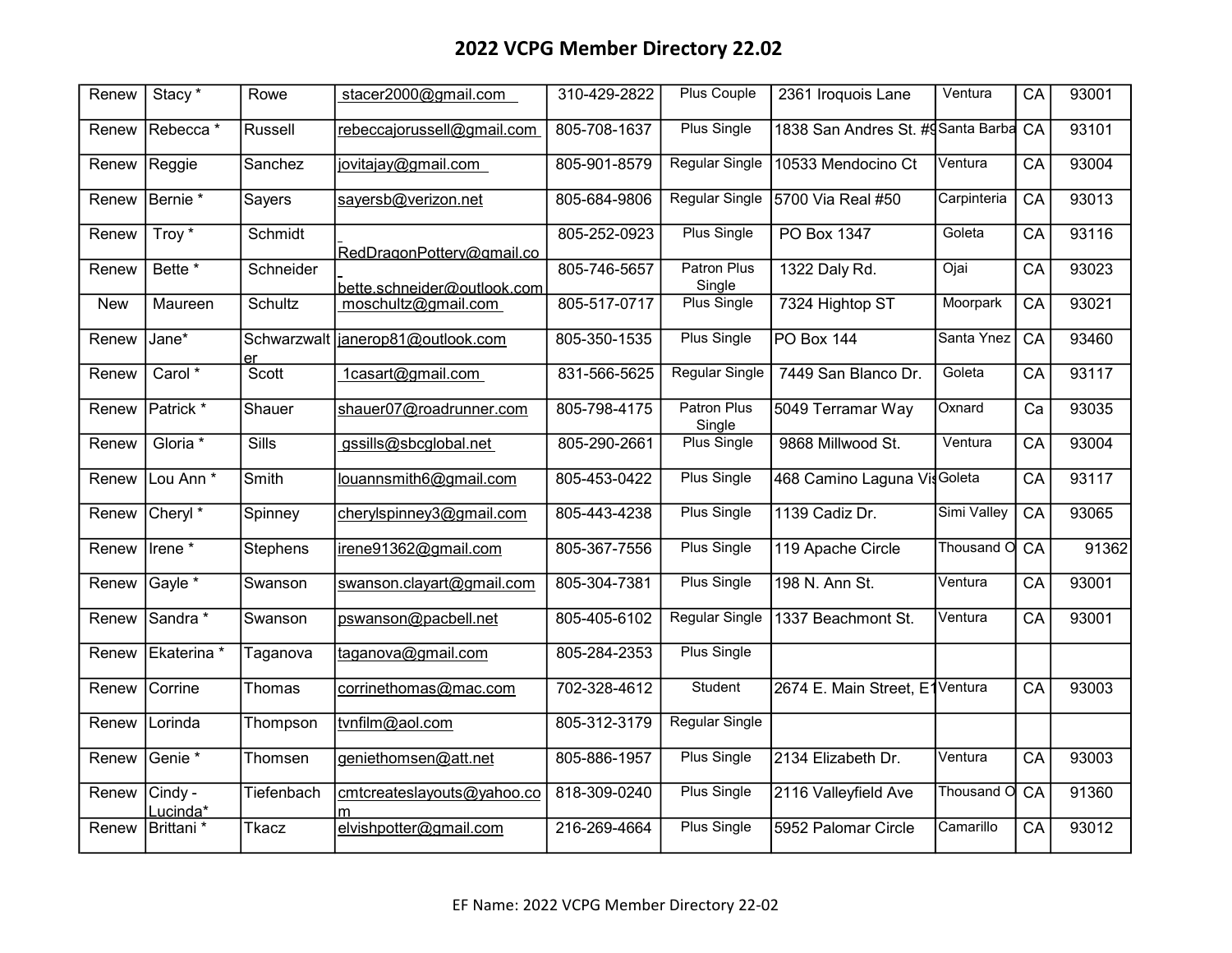| Renew      | Stacy <sup>*</sup>    | Rowe              | stacer2000@gmail.com        | 310-429-2822 | Plus Couple                  | 2361 Iroquois Lane                | Ventura     | $\overline{CA}$ | 93001 |
|------------|-----------------------|-------------------|-----------------------------|--------------|------------------------------|-----------------------------------|-------------|-----------------|-------|
| Renew      | Rebecca*              | Russell           | rebeccajorussell@gmail.com  | 805-708-1637 | <b>Plus Single</b>           | 1838 San Andres St. #gSanta Barba |             | CA              | 93101 |
| Renew      | Reggie                | Sanchez           | jovitajay@gmail.com         | 805-901-8579 | <b>Regular Single</b>        | 10533 Mendocino Ct                | Ventura     | CA              | 93004 |
| Renew      | Bernie <sup>*</sup>   | Sayers            | sayersb@verizon.net         | 805-684-9806 | <b>Regular Single</b>        | 5700 Via Real #50                 | Carpinteria | CA              | 93013 |
| Renew      | Troy *                | Schmidt           | RedDragonPotterv@gmail.co   | 805-252-0923 | <b>Plus Single</b>           | PO Box 1347                       | Goleta      | CA              | 93116 |
| Renew      | Bette *               | Schneider         | bette.schneider@outlook.com | 805-746-5657 | <b>Patron Plus</b><br>Single | 1322 Daly Rd.                     | Ojai        | CA              | 93023 |
| <b>New</b> | Maureen               | Schultz           | moschultz@gmail.com         | 805-517-0717 | <b>Plus Single</b>           | 7324 Hightop ST                   | Moorpark    | CA              | 93021 |
| Renew      | Jane*                 | Schwarzwalt<br>er | janerop81@outlook.com       | 805-350-1535 | <b>Plus Single</b>           | PO Box 144                        | Santa Ynez  | $\overline{CA}$ | 93460 |
| Renew      | Carol <sup>*</sup>    | Scott             | 1casart@gmail.com           | 831-566-5625 | Regular Single               | 7449 San Blanco Dr.               | Goleta      | CA              | 93117 |
| Renew      | Patrick *             | Shauer            | shauer07@roadrunner.com     | 805-798-4175 | <b>Patron Plus</b><br>Single | 5049 Terramar Way                 | Oxnard      | Ca              | 93035 |
| Renew      | Gloria *              | Sills             | gssills@sbcglobal.net       | 805-290-2661 | <b>Plus Single</b>           | 9868 Millwood St.                 | Ventura     | CA              | 93004 |
| Renew      | Lou Ann *             | Smith             | louannsmith6@gmail.com      | 805-453-0422 | <b>Plus Single</b>           | 468 Camino Laguna VisGoleta       |             | CA              | 93117 |
| Renew      | Cheryl <sup>*</sup>   | Spinney           | cherylspinney3@gmail.com    | 805-443-4238 | <b>Plus Single</b>           | 1139 Cadiz Dr.                    | Simi Valley | $\overline{CA}$ | 93065 |
| Renew      | Irene*                | <b>Stephens</b>   | irene91362@gmail.com        | 805-367-7556 | Plus Single                  | 119 Apache Circle                 | Thousand O  | CA              | 91362 |
| Renew      | Gayle *               | Swanson           | swanson.clayart@gmail.com   | 805-304-7381 | <b>Plus Single</b>           | 198 N. Ann St.                    | Ventura     | CA              | 93001 |
| Renew      | Sandra *              | Swanson           | pswanson@pacbell.net        | 805-405-6102 | <b>Regular Single</b>        | 1337 Beachmont St.                | Ventura     | CA              | 93001 |
| Renew      | Ekaterina *           | Taganova          | taganova@gmail.com          | 805-284-2353 | <b>Plus Single</b>           |                                   |             |                 |       |
| Renew      | Corrine               | Thomas            | corrinethomas@mac.com       | 702-328-4612 | Student                      | 2674 E. Main Street, E1Ventura    |             | $\overline{CA}$ | 93003 |
| Renew      | Lorinda               | Thompson          | tvnfilm@aol.com             | 805-312-3179 | Regular Single               |                                   |             |                 |       |
| Renew      | Genie <sup>*</sup>    | Thomsen           | geniethomsen@att.net        | 805-886-1957 | <b>Plus Single</b>           | 2134 Elizabeth Dr.                | Ventura     | $\overline{CA}$ | 93003 |
| Renew      | Cindy -<br>Lucinda*   | Tiefenbach        | cmtcreateslayouts@yahoo.co  | 818-309-0240 | Plus Single                  | 2116 Valleyfield Ave              | Thousand O  | $\overline{CA}$ | 91360 |
| Renew      | Brittani <sup>*</sup> | Tkacz             | elvishpotter@gmail.com      | 216-269-4664 | <b>Plus Single</b>           | 5952 Palomar Circle               | Camarillo   | CA              | 93012 |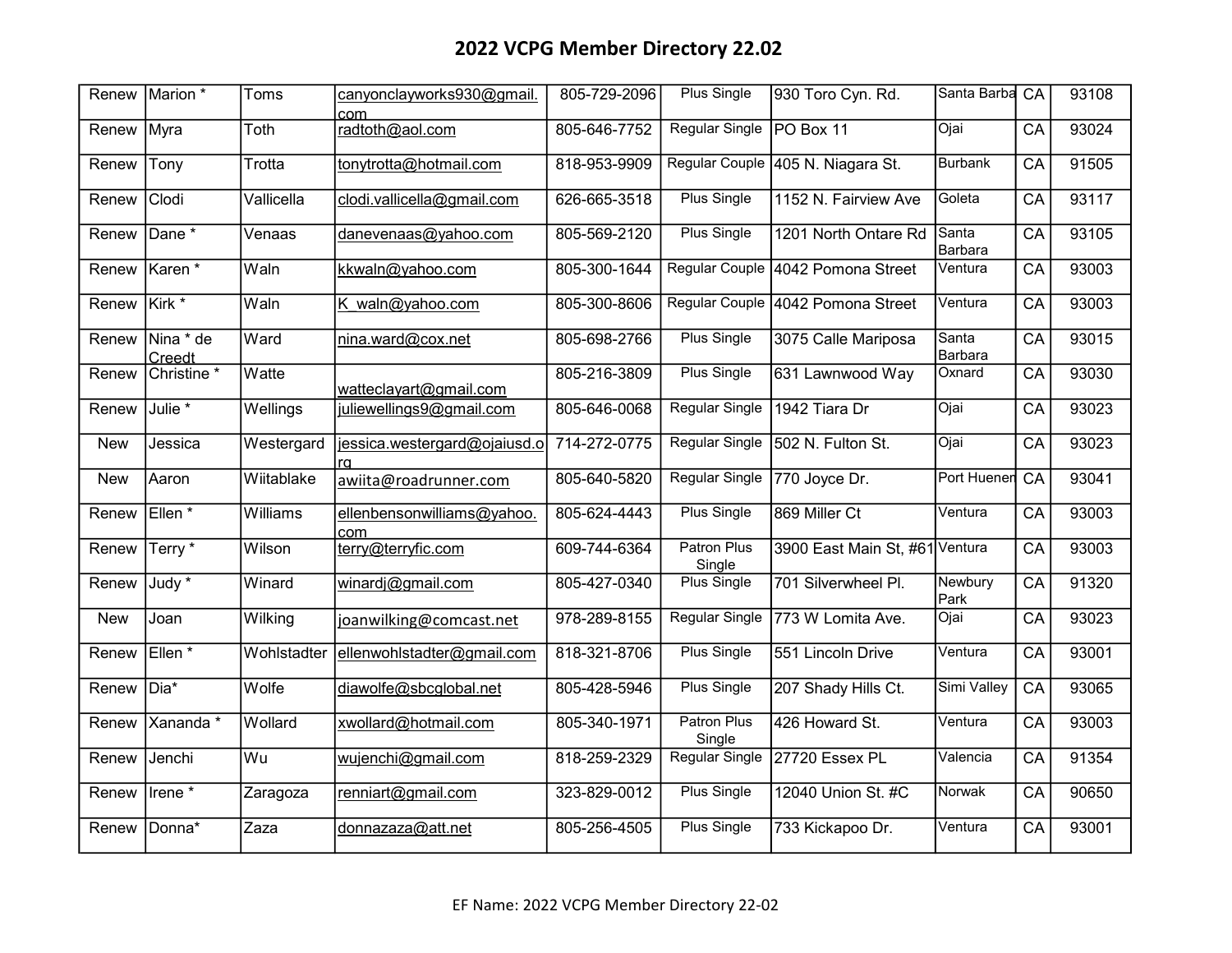| Renew      | Marion *               | Toms        | canyonclayworks930@gmail.<br>com  | 805-729-2096 | <b>Plus Single</b>    | 930 Toro Cyn. Rd.                 | Santa Barba CA   |                 | 93108 |
|------------|------------------------|-------------|-----------------------------------|--------------|-----------------------|-----------------------------------|------------------|-----------------|-------|
| Renew      | Myra                   | Toth        | radtoth@aol.com                   | 805-646-7752 | <b>Regular Single</b> | PO Box 11                         | Ojai             | $\overline{CA}$ | 93024 |
| Renew      | Tony                   | Trotta      | tonytrotta@hotmail.com            | 818-953-9909 |                       | Regular Couple 405 N. Niagara St. | <b>Burbank</b>   | CA              | 91505 |
| Renew      | Clodi                  | Vallicella  | clodi.vallicella@gmail.com        | 626-665-3518 | <b>Plus Single</b>    | 1152 N. Fairview Ave              | Goleta           | CA              | 93117 |
| Renew      | Dane *                 | Venaas      | danevenaas@yahoo.com              | 805-569-2120 | Plus Single           | 1201 North Ontare Rd              | Santa<br>Barbara | CA              | 93105 |
| Renew      | Karen*                 | Waln        | kkwaln@yahoo.com                  | 805-300-1644 |                       | Regular Couple 4042 Pomona Street | Ventura          | CA              | 93003 |
| Renew      | Kirk <sup>*</sup>      | Waln        | K waln@yahoo.com                  | 805-300-8606 |                       | Regular Couple 4042 Pomona Street | Ventura          | CA              | 93003 |
| Renew      | Nina * de<br>Creedt    | Ward        | nina.ward@cox.net                 | 805-698-2766 | <b>Plus Single</b>    | 3075 Calle Mariposa               | Santa<br>Barbara | CA              | 93015 |
| Renew      | Christine <sup>*</sup> | Watte       | watteclayart@gmail.com            | 805-216-3809 | <b>Plus Single</b>    | 631 Lawnwood Way                  | Oxnard           | CA              | 93030 |
| Renew      | Julie <sup>*</sup>     | Wellings    | juliewellings9@gmail.com          | 805-646-0068 | <b>Regular Single</b> | 1942 Tiara Dr                     | Ojai             | CA              | 93023 |
| <b>New</b> | Jessica                | Westergard  | jessica.westergard@ojaiusd.o      | 714-272-0775 | <b>Regular Single</b> | 502 N. Fulton St.                 | Ojai             | CA              | 93023 |
| <b>New</b> | Aaron                  | Wiitablake  | awiita@roadrunner.com             | 805-640-5820 | Regular Single        | 770 Joyce Dr.                     | Port Huenen      | $\overline{CA}$ | 93041 |
| Renew      | Ellen <sup>*</sup>     | Williams    | ellenbensonwilliams@yahoo.<br>com | 805-624-4443 | <b>Plus Single</b>    | 869 Miller Ct                     | Ventura          | $\overline{CA}$ | 93003 |
| Renew      | Terry*                 | Wilson      | terry@terryfic.com                | 609-744-6364 | Patron Plus<br>Single | 3900 East Main St, #61 Ventura    |                  | CA              | 93003 |
| Renew      | Judy *                 | Winard      | winardj@gmail.com                 | 805-427-0340 | <b>Plus Single</b>    | 701 Silverwheel Pl.               | Newbury<br>Park  | CA              | 91320 |
| <b>New</b> | Joan                   | Wilking     | joanwilking@comcast.net           | 978-289-8155 | <b>Regular Single</b> | 773 W Lomita Ave.                 | Ojai             | CA              | 93023 |
| Renew      | Ellen <sup>*</sup>     | Wohlstadter | ellenwohlstadter@gmail.com        | 818-321-8706 | <b>Plus Single</b>    | 551 Lincoln Drive                 | Ventura          | CA              | 93001 |
| Renew      | Dia*                   | Wolfe       | diawolfe@sbcglobal.net            | 805-428-5946 | Plus Single           | 207 Shady Hills Ct.               | Simi Valley      | $\overline{CA}$ | 93065 |
| Renew      | Xananda *              | Wollard     | xwollard@hotmail.com              | 805-340-1971 | Patron Plus<br>Single | 426 Howard St.                    | Ventura          | CA              | 93003 |
| Renew      | Jenchi                 | Wu          | wujenchi@gmail.com                | 818-259-2329 | Regular Single        | 27720 Essex PL                    | Valencia         | CA              | 91354 |
| Renew      | Irene $\overline{\ }$  | Zaragoza    | renniart@gmail.com                | 323-829-0012 | <b>Plus Single</b>    | 12040 Union St. #C                | Norwak           | CA              | 90650 |
| Renew      | Donna*                 | Zaza        | donnazaza@att.net                 | 805-256-4505 | <b>Plus Single</b>    | 733 Kickapoo Dr.                  | Ventura          | CA              | 93001 |